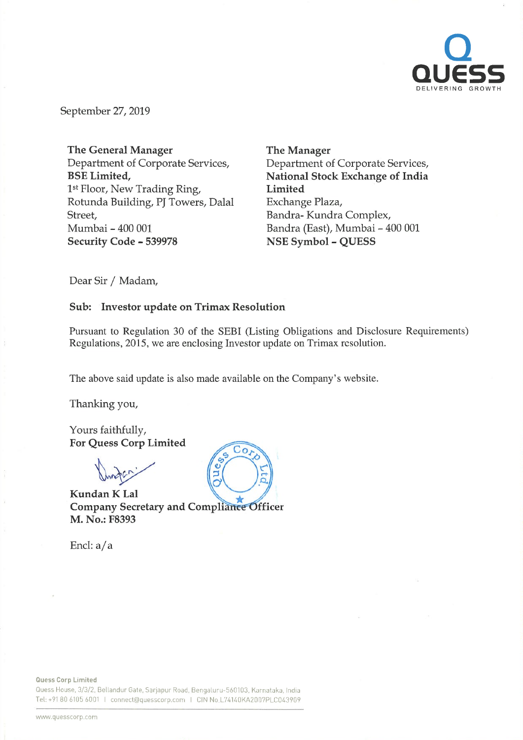

September 27, 2019

The General Manager Department of Corporate Services, BSE Limited, 1st Floor, New Trading Ring, Rotunda Building, PJ Towers, Dalal Street, Mumbai - 400 001 Security Code - 539978

The Manager Department of Corporate Services, National Stock Exchange of India Limited Exchange Plaza, Bandra- Kundra Complex, Bandra (East), Mumbai - 400 001 NSE Symbol - QUESS

Dear Sir / Madam,

# Sub: Investor update on Trimax Resolution

Pursuant to Regulation 30 of the SEBI (Listing Obligations and Disclosure Requirements) Regulations, 2015, we are enclosing Investor update on Trimax resolution.

The above said update is also made available on the Company's website.

Thanking you,

Yours faithfully, For Quess Corp Limited

KundanK Lal Company Secretary and Compliance Officer M. No.: F8393

Encl: a/a



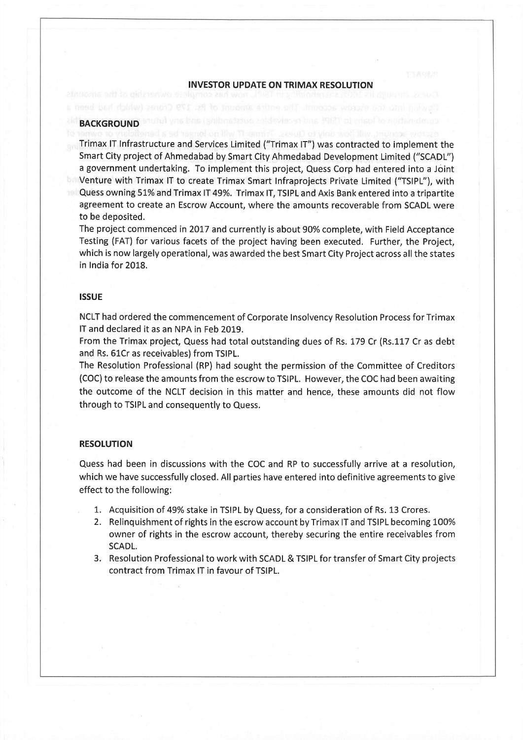# INVESTOR UPDATE ON TRIMAX RESOLUTION

### **BACKGROUND**

Trimax IT Infrastructure and Services Limited ("Trimax IT") was contracted to implement the Smart City project of Ahmedabad by Smart City Ahmedabad Development Limited ("SCADL") <sup>a</sup> government undertaking. To implement this project, Quess Corp had entered into <sup>a</sup> Joint Venture with Trimax IT to create Trimax Smart Infraprojects Private Limited ("TSIPL"), with Quess owning 51% and Trimax IT 49%. Trimax IT, TSIPL and Axis Bank entered into a tripartite agreement to create an Escrow Account, where the amounts recoverable from SCADL were to be deposited.

The project commenced in 2017 and currently is about 90% complete, with Field Acceptance Testing (FAT) for various facets of the project having been executed. Further, the Project, which is now largely operational, was awarded the best Smart City Project across all the states in India for 2018.

## **ISSUE**

NCLT had ordered the commencement of Corporate Insolvency Resolution Process for Trimax IT and declared it as an NPA in Feb 2019.

From the Trimax project, Quess had total outstanding dues of Rs. 179 Cr (Rs.117 Cr as debt and Rs. 61Cr as receivables) from TSIPL.

The Resolution Professional (RP) had sought the permission of the Committee of Creditors (COC) to release the amounts from the escrow to TSIPL. However, the COC had been awaiting the outcome of the NCLT decision in this matter and hence, these amounts did not flow through to TSIPL and consequently to Quess.

### RESOLUTION

Quess had been in discussions with the COC and RP to successfully arrive at <sup>a</sup> resolution, which we have successfully closed. All parties have entered into definitive agreements to give effect to the following:

- 1. Acquisition of 49% stake in TSIPL by Quess, for <sup>a</sup> consideration of Rs. 13 Crores.
- 2. Relinquishment of rights in the escrow account by Trimax IT and TSIPL becoming 100% owner of rights in the escrow account, thereby securing the entire receivables from SCADL.
- 3. Resolution Professional to work with SCADL & TSIPL for transfer of Smart City projects contract from Trimax IT in favour of TSIPL.